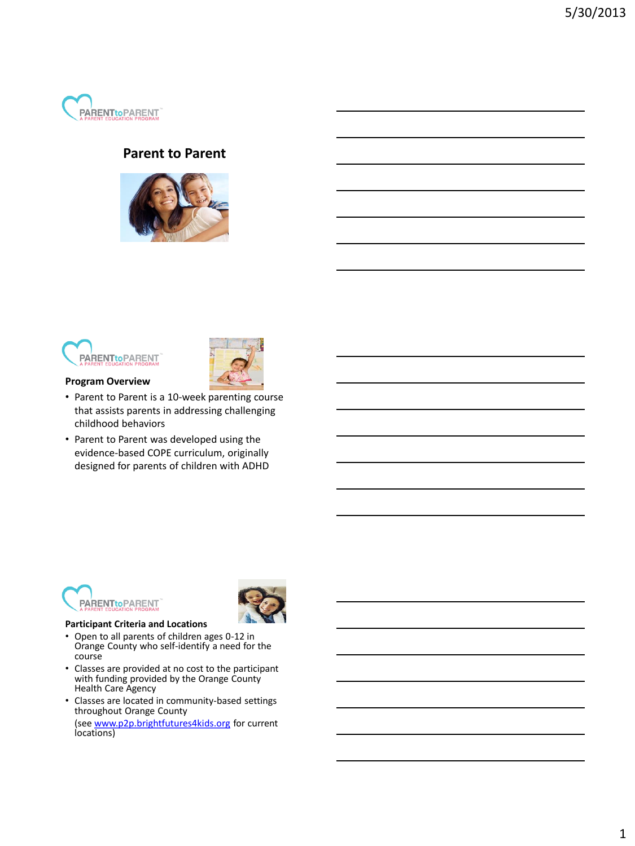

#### **Parent to Parent**







### **Program Overview**

- Parent to Parent is a 10-week parenting course that assists parents in addressing challenging childhood behaviors
- Parent to Parent was developed using the evidence-based COPE curriculum, originally designed for parents of children with ADHD





#### **Participant Criteria and Locations**

- Open to all parents of children ages 0-12 in Orange County who self-identify a need for the course
- Classes are provided at no cost to the participant with funding provided by the Orange County Health Care Agency
- Classes are located in community-based settings throughout Orange County

(see [www.p2p.brightfutures4kids.org](http://www.p2p.brightfutures4kids.org/) for current locations)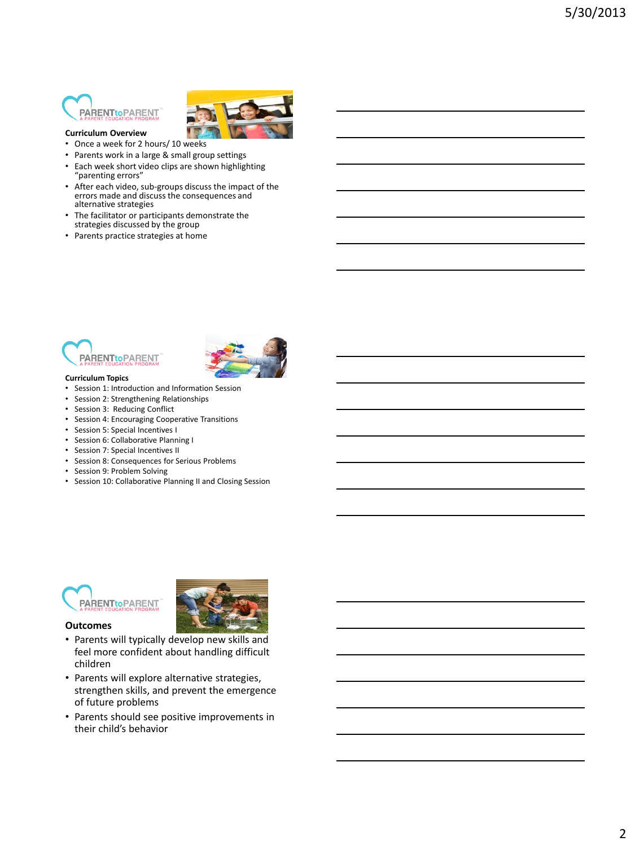## **PARENTtoPARENT**



- **Curriculum Overview**
- Once a week for 2 hours/ 10 weeks
- Parents work in a large & small group settings
- Each week short video clips are shown highlighting "parenting errors"
- After each video, sub-groups discuss the impact of the errors made and discuss the consequences and alternative strategies
- The facilitator or participants demonstrate the strategies discussed by the group
- Parents practice strategies at home





- **Curriculum Topics**
- Session 1: Introduction and Information Session
- Session 2: Strengthening Relationships • Session 3: Reducing Conflict
- Session 4: Encouraging Cooperative Transitions
- Session 5: Special Incentives I
- Session 6: Collaborative Planning I
- Session 7: Special Incentives II
- Session 8: Consequences for Serious Problems
- Session 9: Problem Solving
- Session 10: Collaborative Planning II and Closing Session





- **Outcomes**
- Parents will typically develop new skills and feel more confident about handling difficult children
- Parents will explore alternative strategies, strengthen skills, and prevent the emergence of future problems
- Parents should see positive improvements in their child's behavior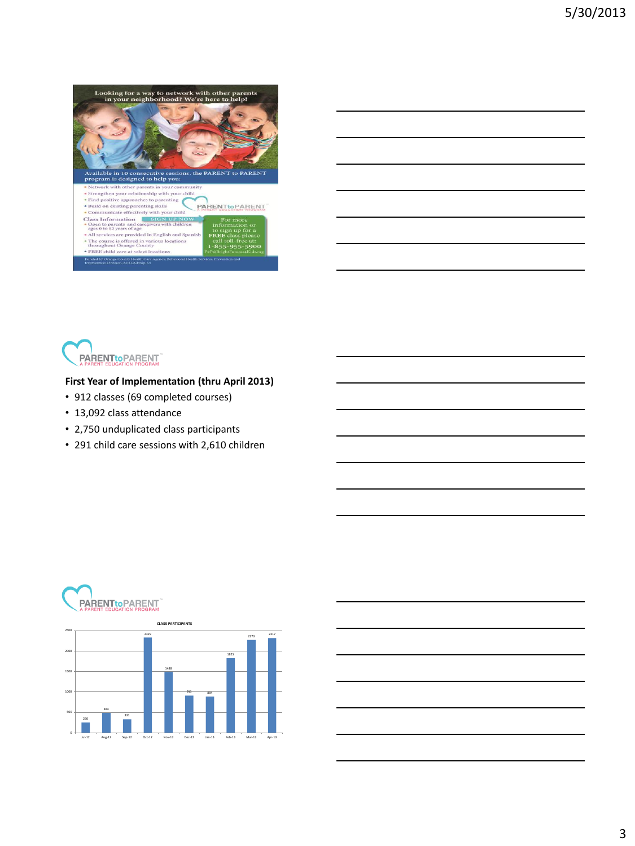





#### **First Year of Implementation (thru April 2013)**

- 912 classes (69 completed courses)
- 13,092 class attendance

**PARENTtoPARENT** 

- 2,750 unduplicated class participants
- 291 child care sessions with 2,610 children



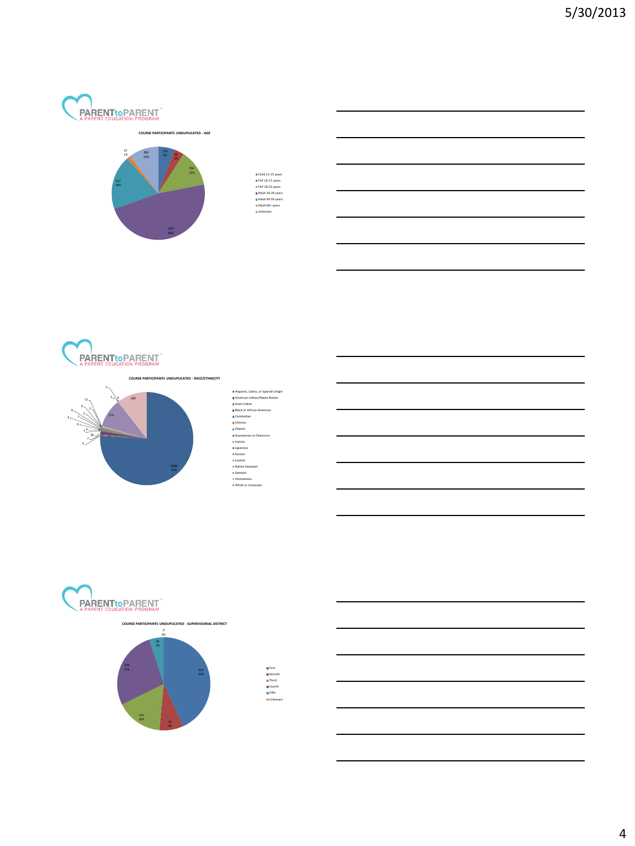

#### **COURSE PARTICIPANTS UNDUPLICATED - AGE**



Child 11-15 years TAY 16-17 years TAY 18-25 years Adult 26-39 years Adult 40-59 years Adult 60+ years Unknown





# Hispanic, Latino, or Spanish Origin<br>American Indian/Alaska Rabie<br>Alaska Malaka Rabie<br>Bilack or African American<br>Cambodian<br>Galaka<br>Kilipino<br>Japanese<br>Japanese<br>Japanese<br>Japanese<br>Japanese<br>Japanese<br>Mortean<br>Malaka Hispanian<br>Japan





First Second Third Fourth Fifth Unknown